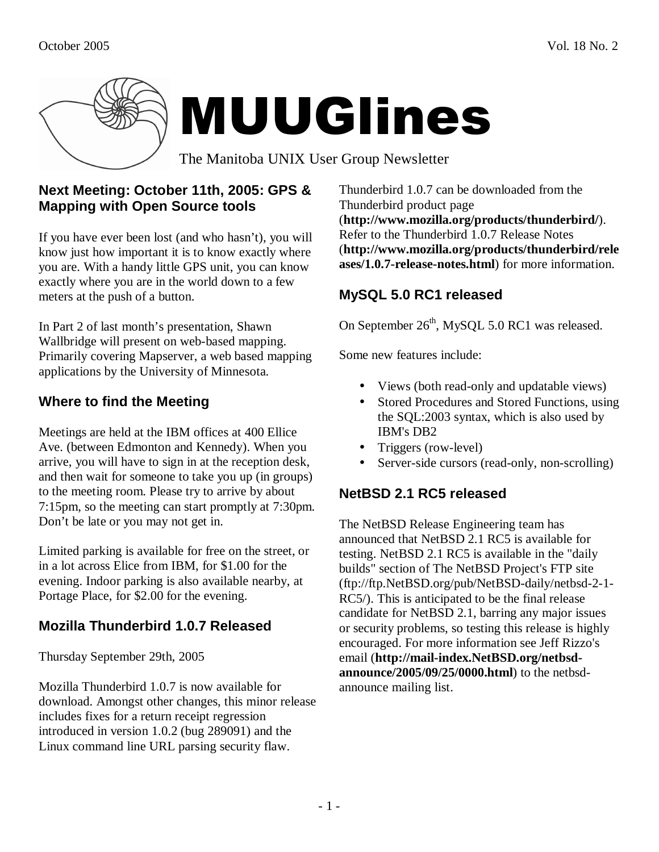

## **Next Meeting: October 11th, 2005: GPS & Mapping with Open Source tools**

If you have ever been lost (and who hasn't), you will know just how important it is to know exactly where you are. With a handy little GPS unit, you can know exactly where you are in the world down to a few meters at the push of a button.

In Part 2 of last month's presentation, Shawn Wallbridge will present on web-based mapping. Primarily covering Mapserver, a web based mapping applications by the University of Minnesota.

# **Where to find the Meeting**

Meetings are held at the IBM offices at 400 Ellice Ave. (between Edmonton and Kennedy). When you arrive, you will have to sign in at the reception desk, and then wait for someone to take you up (in groups) to the meeting room. Please try to arrive by about 7:15pm, so the meeting can start promptly at 7:30pm. Don't be late or you may not get in.

Limited parking is available for free on the street, or in a lot across Elice from IBM, for \$1.00 for the evening. Indoor parking is also available nearby, at Portage Place, for \$2.00 for the evening.

# **Mozilla Thunderbird 1.0.7 Released**

Thursday September 29th, 2005

Mozilla Thunderbird 1.0.7 is now available for download. Amongst other changes, this minor release includes fixes for a return receipt regression introduced in version 1.0.2 (bug 289091) and the Linux command line URL parsing security flaw.

Thunderbird 1.0.7 can be downloaded from the Thunderbird product page (**http://www.mozilla.org/products/thunderbird/**). Refer to the Thunderbird 1.0.7 Release Notes (**http://www.mozilla.org/products/thunderbird/rele ases/1.0.7-release-notes.html**) for more information.

## **MySQL 5.0 RC1 released**

On September 26<sup>th</sup>, MySQL 5.0 RC1 was released.

Some new features include:

- Views (both read-only and updatable views)
- Stored Procedures and Stored Functions, using the SQL:2003 syntax, which is also used by IBM's DB2
- Triggers (row-level)
- Server-side cursors (read-only, non-scrolling)

## **NetBSD 2.1 RC5 released**

The NetBSD Release Engineering team has announced that NetBSD 2.1 RC5 is available for testing. NetBSD 2.1 RC5 is available in the "daily builds" section of The NetBSD Project's FTP site (ftp://ftp.NetBSD.org/pub/NetBSD-daily/netbsd-2-1- RC5/). This is anticipated to be the final release candidate for NetBSD 2.1, barring any major issues or security problems, so testing this release is highly encouraged. For more information see Jeff Rizzo's email (**http://mail-index.NetBSD.org/netbsdannounce/2005/09/25/0000.html**) to the netbsdannounce mailing list.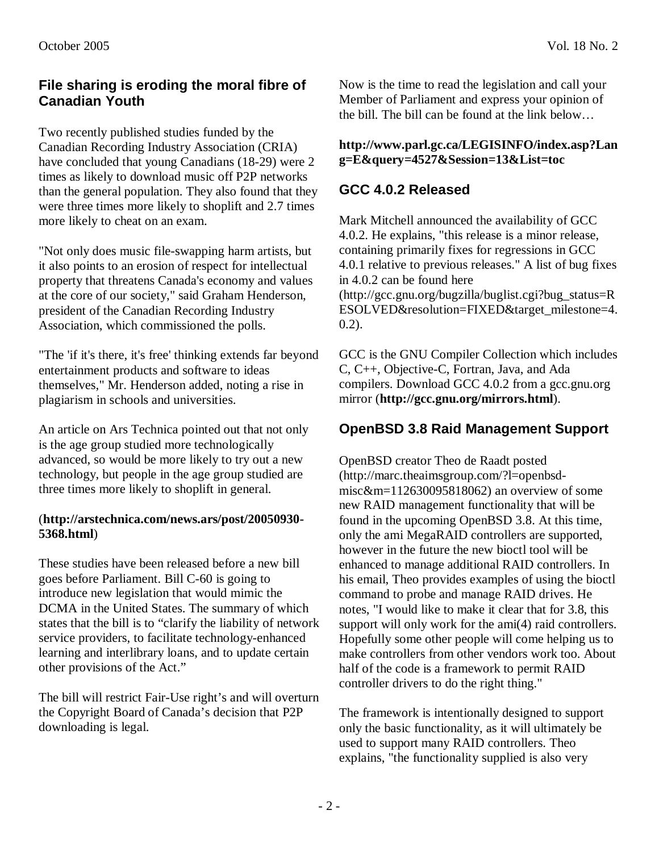### **File sharing is eroding the moral fibre of Canadian Youth**

Two recently published studies funded by the Canadian Recording Industry Association (CRIA) have concluded that young Canadians (18-29) were 2 times as likely to download music off P2P networks than the general population. They also found that they were three times more likely to shoplift and 2.7 times more likely to cheat on an exam.

"Not only does music file-swapping harm artists, but it also points to an erosion of respect for intellectual property that threatens Canada's economy and values at the core of our society," said Graham Henderson, president of the Canadian Recording Industry Association, which commissioned the polls.

"The 'if it's there, it's free' thinking extends far beyond entertainment products and software to ideas themselves," Mr. Henderson added, noting a rise in plagiarism in schools and universities.

An article on Ars Technica pointed out that not only is the age group studied more technologically advanced, so would be more likely to try out a new technology, but people in the age group studied are three times more likely to shoplift in general.

#### (**http://arstechnica.com/news.ars/post/20050930- 5368.html**)

These studies have been released before a new bill goes before Parliament. Bill C-60 is going to introduce new legislation that would mimic the DCMA in the United States. The summary of which states that the bill is to "clarify the liability of network service providers, to facilitate technology-enhanced learning and interlibrary loans, and to update certain other provisions of the Act."

The bill will restrict Fair-Use right's and will overturn the Copyright Board of Canada's decision that P2P downloading is legal.

Now is the time to read the legislation and call your Member of Parliament and express your opinion of the bill. The bill can be found at the link below…

#### **http://www.parl.gc.ca/LEGISINFO/index.asp?Lan g=E&query=4527&Session=13&List=toc**

## **GCC 4.0.2 Released**

Mark Mitchell announced the availability of GCC 4.0.2. He explains, "this release is a minor release, containing primarily fixes for regressions in GCC 4.0.1 relative to previous releases." A list of bug fixes in 4.0.2 can be found here (http://gcc.gnu.org/bugzilla/buglist.cgi?bug\_status=R ESOLVED&resolution=FIXED&target\_milestone=4. 0.2).

GCC is the GNU Compiler Collection which includes C, C++, Objective-C, Fortran, Java, and Ada compilers. Download GCC 4.0.2 from a gcc.gnu.org mirror (**http://gcc.gnu.org/mirrors.html**).

## **OpenBSD 3.8 Raid Management Support**

OpenBSD creator Theo de Raadt posted (http://marc.theaimsgroup.com/?l=openbsdmisc&m=112630095818062) an overview of some new RAID management functionality that will be found in the upcoming OpenBSD 3.8. At this time, only the ami MegaRAID controllers are supported, however in the future the new bioctl tool will be enhanced to manage additional RAID controllers. In his email, Theo provides examples of using the bioctl command to probe and manage RAID drives. He notes, "I would like to make it clear that for 3.8, this support will only work for the ami(4) raid controllers. Hopefully some other people will come helping us to make controllers from other vendors work too. About half of the code is a framework to permit RAID controller drivers to do the right thing."

The framework is intentionally designed to support only the basic functionality, as it will ultimately be used to support many RAID controllers. Theo explains, "the functionality supplied is also very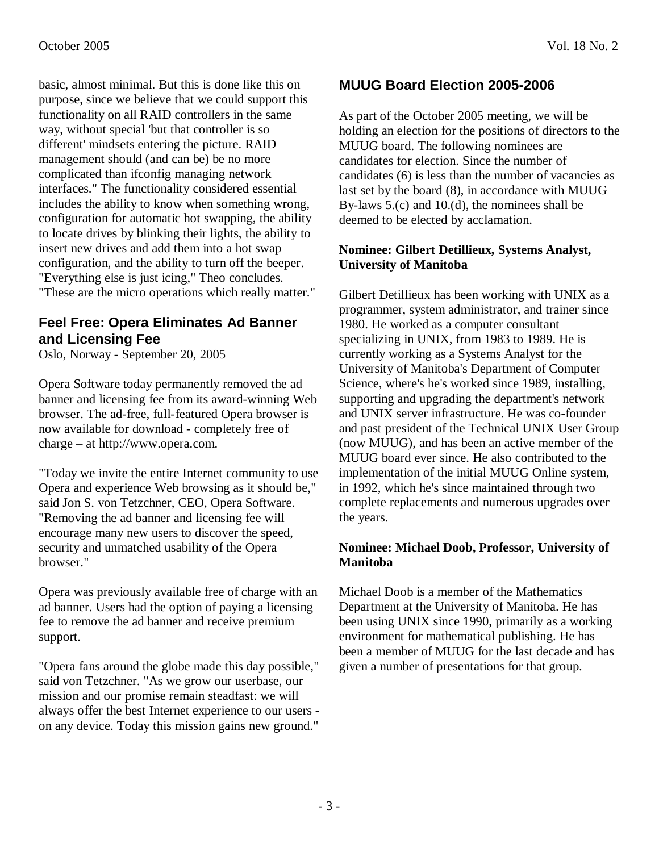basic, almost minimal. But this is done like this on purpose, since we believe that we could support this functionality on all RAID controllers in the same way, without special 'but that controller is so different' mindsets entering the picture. RAID management should (and can be) be no more complicated than ifconfig managing network interfaces." The functionality considered essential includes the ability to know when something wrong, configuration for automatic hot swapping, the ability to locate drives by blinking their lights, the ability to insert new drives and add them into a hot swap configuration, and the ability to turn off the beeper. "Everything else is just icing," Theo concludes. "These are the micro operations which really matter."

## **Feel Free: Opera Eliminates Ad Banner and Licensing Fee**

Oslo, Norway - September 20, 2005

Opera Software today permanently removed the ad banner and licensing fee from its award-winning Web browser. The ad-free, full-featured Opera browser is now available for download - completely free of charge – at http://www.opera.com.

"Today we invite the entire Internet community to use Opera and experience Web browsing as it should be," said Jon S. von Tetzchner, CEO, Opera Software. "Removing the ad banner and licensing fee will encourage many new users to discover the speed, security and unmatched usability of the Opera browser."

Opera was previously available free of charge with an ad banner. Users had the option of paying a licensing fee to remove the ad banner and receive premium support.

"Opera fans around the globe made this day possible," said von Tetzchner. "As we grow our userbase, our mission and our promise remain steadfast: we will always offer the best Internet experience to our users on any device. Today this mission gains new ground."

## **MUUG Board Election 2005-2006**

As part of the October 2005 meeting, we will be holding an election for the positions of directors to the MUUG board. The following nominees are candidates for election. Since the number of candidates (6) is less than the number of vacancies as last set by the board (8), in accordance with MUUG By-laws 5.(c) and 10.(d), the nominees shall be deemed to be elected by acclamation.

#### **Nominee: Gilbert Detillieux, Systems Analyst, University of Manitoba**

Gilbert Detillieux has been working with UNIX as a programmer, system administrator, and trainer since 1980. He worked as a computer consultant specializing in UNIX, from 1983 to 1989. He is currently working as a Systems Analyst for the University of Manitoba's Department of Computer Science, where's he's worked since 1989, installing, supporting and upgrading the department's network and UNIX server infrastructure. He was co-founder and past president of the Technical UNIX User Group (now MUUG), and has been an active member of the MUUG board ever since. He also contributed to the implementation of the initial MUUG Online system, in 1992, which he's since maintained through two complete replacements and numerous upgrades over the years.

#### **Nominee: Michael Doob, Professor, University of Manitoba**

Michael Doob is a member of the Mathematics Department at the University of Manitoba. He has been using UNIX since 1990, primarily as a working environment for mathematical publishing. He has been a member of MUUG for the last decade and has given a number of presentations for that group.